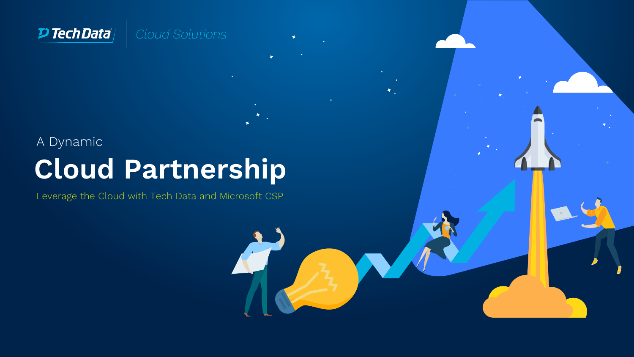

# **Cloud Partnership** A Dynamic

Leverage the Cloud with Tech Data and Microsoft CSP

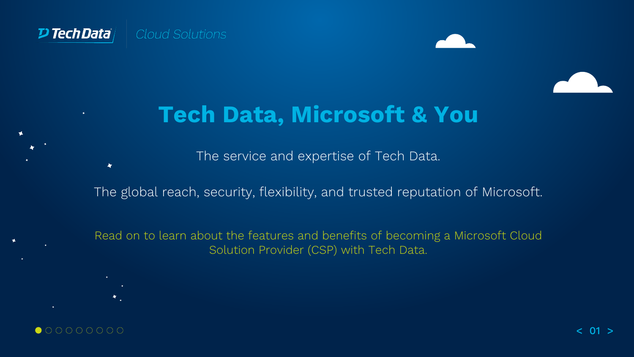

 $\blacktriangleleft$ 

4.



## **Tech Data, Microsoft & You**

The service and expertise of Tech Data.

The global reach, security, flexibility, and trusted reputation of Microsoft.

Read on to learn about the features and benefits of becoming a Microsoft Cloud Solution Provider (CSP) with Tech Data.

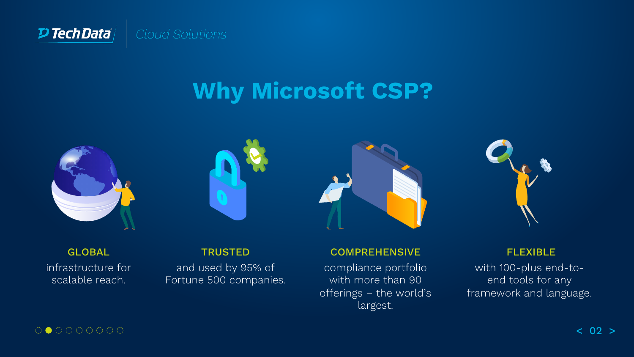

# **Why Microsoft CSP?**









GLOBAL infrastructure for scalable reach.

#### **TRUSTED**

and used by 95% of Fortune 500 companies.

#### **COMPREHENSIVE**

compliance portfolio with more than 90 offerings – the world's largest.

#### FLEXIBLE

with 100-plus end-toend tools for any framework and language.

#### 000000000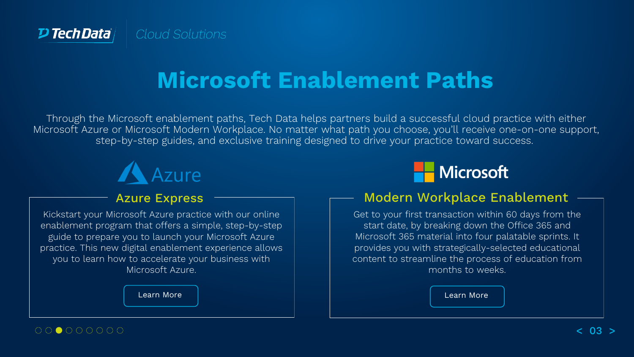

# **Microsoft Enablement Paths**

Through the Microsoft enablement paths, Tech Data helps partners build a successful cloud practice with either Microsoft Azure or Microsoft Modern Workplace. No matter what path you choose, you'll receive one-on-one support, step-by-step guides, and exclusive training designed to drive your practice toward success.



#### Azure Express

Kickstart your Microsoft Azure practice with our online enablement program that offers a simple, step-by-step guide to prepare you to launch your Microsoft Azure practice. This new digital enablement experience allows you to learn how to accelerate your business with Microsoft Azure.

[Learn More](https://www.techdata.com/content/tdcloud/path-azure.html) [Learn More](https://www.techdata.com/content/tdcloud/path-modern-workplace.html#x)



#### Modern Workplace Enablement

Get to your first transaction within 60 days from the start date, by breaking down the Office 365 and Microsoft 365 material into four palatable sprints. It provides you with strategically-selected educational content to streamline the process of education from months to weeks.

 $00 \bullet 000000$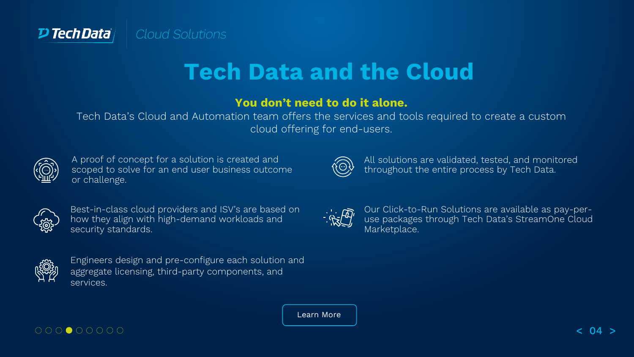

# **Tech Data and the Cloud**

#### **You don't need to do it alone.**

Tech Data's Cloud and Automation team offers the services and tools required to create a custom cloud offering for end-users.

 $\widehat{\left\langle \odot \right\rangle}$ 

 $\frac{1}{\sqrt{2}}\frac{1}{\sqrt{2}}$ 

All solutions are validated, tested, and monitored

Our Click-to-Run Solutions are available as pay-peruse packages through Tech Data's StreamOne Cloud

throughout the entire process by Tech Data.

Marketplace.

| r, | Ē<br>п |  |
|----|--------|--|
|    | Ш      |  |

A proof of concept for a solution is created and scoped to solve for an end user business outcome or challenge.



Best-in-class cloud providers and ISV's are based on how they align with high-demand workloads and security standards.



Engineers design and pre-configure each solution and aggregate licensing, third-party components, and services.

|--|

 $000000000$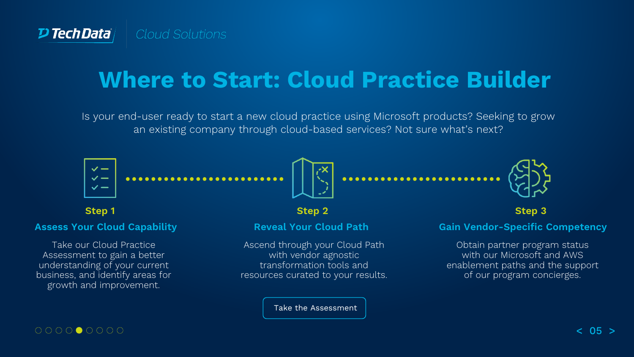# **Where to Start: Cloud Practice Builder**

Is your end-user ready to start a new cloud practice using Microsoft products? Seeking to grow an existing company through cloud-based services? Not sure what's next?

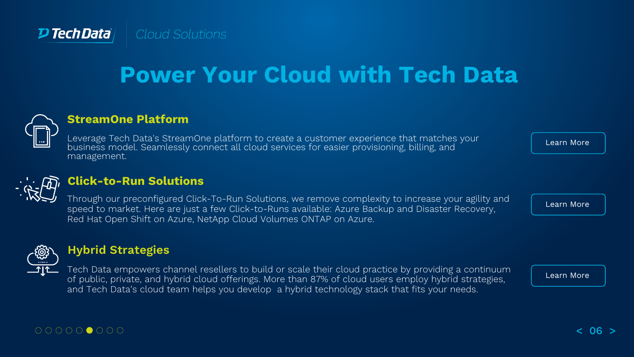

# **Power Your Cloud with Tech Data**



#### **StreamOne Platform**

Leverage Tech Data's StreamOne platform to create a customer experience that matches your business model. Seamlessly connect all cloud services for easier provisioning, billing, and management.



#### **Click-to-Run Solutions**

Through our preconfigured Click-To-Run Solutions, we remove complexity to increase your agility and speed to market. Here are just a few Click-to-Runs available: Azure Backup and Disaster Recovery, Red Hat Open Shift on Azure, NetApp Cloud Volumes ONTAP on Azure.



#### **Hybrid Strategies**

Tech Data empowers channel resellers to build or scale their cloud practice by providing a continuum of public, private, and hybrid cloud offerings. More than 87% of cloud users employ hybrid strategies, and Tech Data's cloud team helps you develop a hybrid technology stack that fits your needs.

[Learn More](https://www.techdata.com/content/tdcloud/hybrid-cloud.html)

[Learn More](http://www.techdata.com/content/tdcloud/cloud-power.html)

[Learn More](http://www.techdata.com/content/tdcloud/solutions.html)

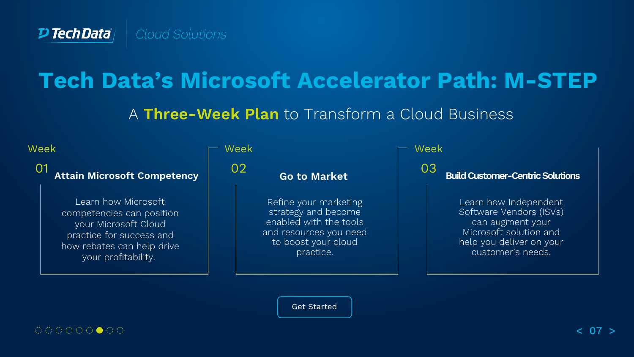### **Tech Data's Microsoft Accelerator Path: M-STEP**

A **Three-Week Plan** to Transform a Cloud Business



[Get Started](https://www.techdata.com/content/tdcloud/path-m-step.html)

####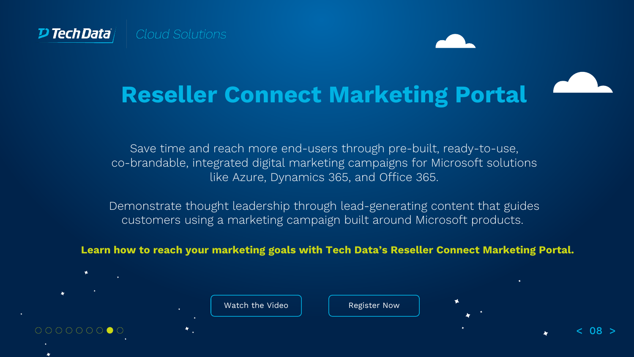

**Reseller Connect Marketing Portal**

Save time and reach more end-users through pre-built, ready-to-use, co-brandable, integrated digital marketing campaigns for Microsoft solutions like Azure, Dynamics 365, and Office 365.

Demonstrate thought leadership through lead-generating content that guides customers using a marketing campaign built around Microsoft products.

**Learn how to reach your marketing goals with Tech Data's Reseller Connect Marketing Portal.** 

[Watch the Video](https://embed.vidyard.com/share/HV9v2SKyZJbanRQBb93K26)  $\parallel$  [Register Now](http://resellerconnect.zift123.com/?zPage=Basic-Support-Reg-Form-a88c47e0)  $0000000000$ < 08 >